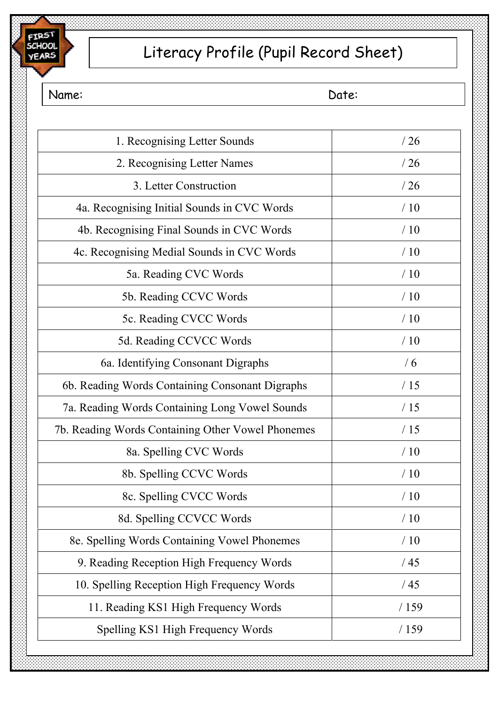

# Literacy Profile (Pupil Record Sheet)

Name: Date:

| 1. Recognising Letter Sounds                      | /26  |
|---------------------------------------------------|------|
| 2. Recognising Letter Names                       | /26  |
| 3. Letter Construction                            | /26  |
| 4a. Recognising Initial Sounds in CVC Words       | /10  |
| 4b. Recognising Final Sounds in CVC Words         | /10  |
| 4c. Recognising Medial Sounds in CVC Words        | /10  |
| 5a. Reading CVC Words                             | /10  |
| 5b. Reading CCVC Words                            | /10  |
| 5c. Reading CVCC Words                            | /10  |
| 5d. Reading CCVCC Words                           | /10  |
| 6a. Identifying Consonant Digraphs                | /6   |
| 6b. Reading Words Containing Consonant Digraphs   | /15  |
| 7a. Reading Words Containing Long Vowel Sounds    | /15  |
| 7b. Reading Words Containing Other Vowel Phonemes | /15  |
| 8a. Spelling CVC Words                            | /10  |
| 8b. Spelling CCVC Words                           | /10  |
| 8c. Spelling CVCC Words                           | /10  |
| 8d. Spelling CCVCC Words                          | /10  |
| 8e. Spelling Words Containing Vowel Phonemes      | /10  |
| 9. Reading Reception High Frequency Words         | /45  |
| 10. Spelling Reception High Frequency Words       | /45  |
| 11. Reading KS1 High Frequency Words              | /159 |
| Spelling KS1 High Frequency Words                 | /159 |
|                                                   |      |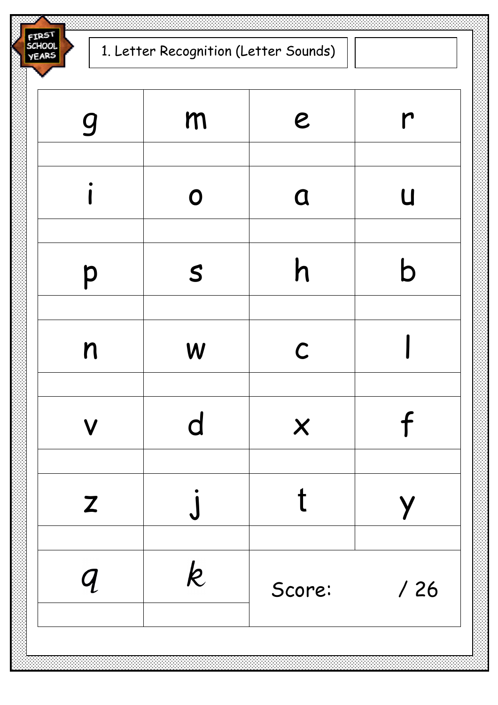-resi SCHOOL **YEARS** 

gmer i o a u ps h b n | w | c | l vd x f z j t y  $\boldsymbol{k}$  $\boldsymbol{q}$ Score: / 26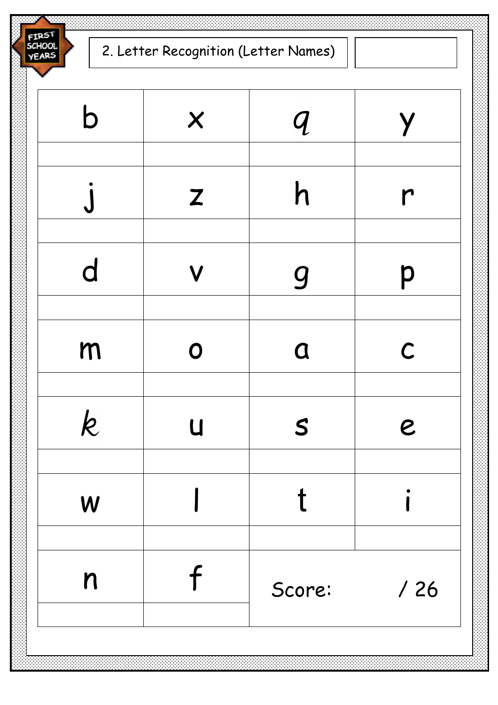FIRST<br>SCHOOL<br>YEARS

| $\boldsymbol{\mathsf{n}}$ |                           | Score:                                                                             | /26              |
|---------------------------|---------------------------|------------------------------------------------------------------------------------|------------------|
| W                         |                           |                                                                                    |                  |
| $\boldsymbol{k}$          | $\overline{u}$            | $\mathcal{S}$                                                                      | $\boldsymbol{e}$ |
| m                         | $\mathbf O$               | $\alpha$                                                                           | $\mathcal C$     |
| d                         | $\mathbf V$               | 9                                                                                  | p                |
|                           |                           |                                                                                    |                  |
|                           | $\mathbf{Z}$              | $\mathsf{h}% _{1}\left( \mathsf{h}\right) =\mathsf{h}_{1}\left( \mathsf{h}\right)$ | $\mathsf{r}$     |
| b                         | $\boldsymbol{\mathsf{X}}$ | $\boldsymbol{q}$                                                                   | Y                |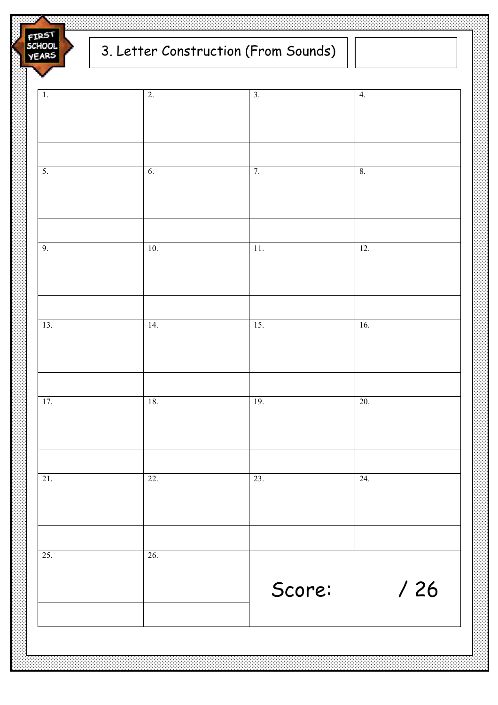FIRS<sup>T</sup><br>SCHOOL **VEARS** 

## 3. Letter Construction (From Sounds)

| $\overline{1}$ . | $\overline{2}$ . | $\overline{3}$ . | 4.      |
|------------------|------------------|------------------|---------|
|                  |                  |                  |         |
|                  |                  |                  |         |
|                  |                  |                  |         |
| $\overline{5}$ . | 6.               | 7.               | $8. \,$ |
|                  |                  |                  |         |
|                  |                  |                  |         |
|                  |                  |                  |         |
| 9.               | $10.$            | 11.              | 12.     |
|                  |                  |                  |         |
|                  |                  |                  |         |
|                  |                  |                  |         |
| 13.              | 14.              | 15.              | 16.     |
|                  |                  |                  |         |
|                  |                  |                  |         |
|                  |                  |                  |         |
| 17.              | $18.$            | 19.              | 20.     |
|                  |                  |                  |         |
|                  |                  |                  |         |
| 21.              | 22.              | 23.              | 24.     |
|                  |                  |                  |         |
|                  |                  |                  |         |
|                  |                  |                  |         |
| 25.              | 26.              |                  |         |
|                  |                  |                  |         |
|                  |                  | Score:           | /26     |
|                  |                  |                  |         |
|                  |                  |                  |         |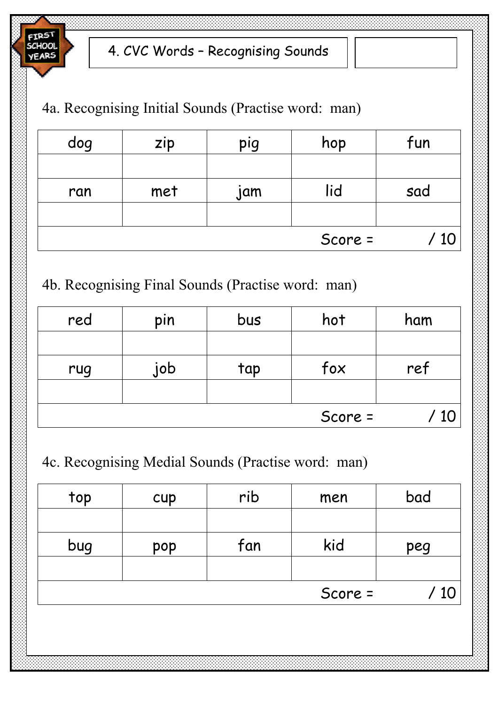

#### 4a. Recognising Initial Sounds (Practise word: man)

| dog | zip | pig | hop     | fun |
|-----|-----|-----|---------|-----|
|     |     |     |         |     |
| ran | met | jam | lid     | sad |
|     |     |     |         |     |
|     |     |     | Score = |     |

### 4b. Recognising Final Sounds (Practise word: man)

| red | pin | bus | hot     | ham |
|-----|-----|-----|---------|-----|
|     |     |     |         |     |
| rug | job | tap | fox     | ref |
|     |     |     |         |     |
|     |     |     | Score = |     |

#### 4c. Recognising Medial Sounds (Practise word: man)

| top | cup | rib | men     | bad |
|-----|-----|-----|---------|-----|
|     |     |     |         |     |
| bug | pop | fan | kid     | peg |
|     |     |     |         |     |
|     |     |     | Score = |     |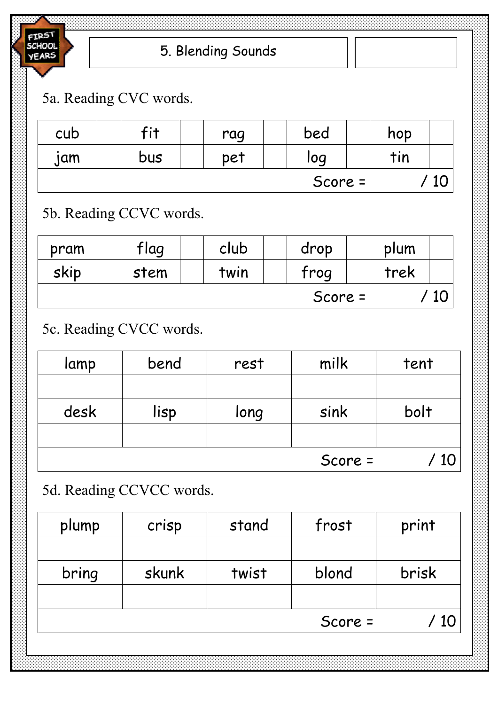

### 5a. Reading CVC words.

| cub | 5:4 | rag | bed     | hop |  |
|-----|-----|-----|---------|-----|--|
| jam | bus | pet | log     | tin |  |
|     |     |     | Score = |     |  |

### 5b. Reading CCVC words.

| pram    | flag | club | drop | plum |  |
|---------|------|------|------|------|--|
| skip    | stem | twin | frog | trek |  |
| Score = |      |      |      |      |  |

## 5c. Reading CVCC words.

| lamp | bend | rest | milk    | tent |
|------|------|------|---------|------|
|      |      |      |         |      |
| desk | lisp | long | sink    | bolt |
|      |      |      |         |      |
|      |      |      | Score = |      |

### 5d. Reading CCVCC words.

| plump | crisp | stand | frost   | print |
|-------|-------|-------|---------|-------|
|       |       |       |         |       |
| bring | skunk | twist | blond   | brisk |
|       |       |       |         |       |
|       |       |       | Score = | 10    |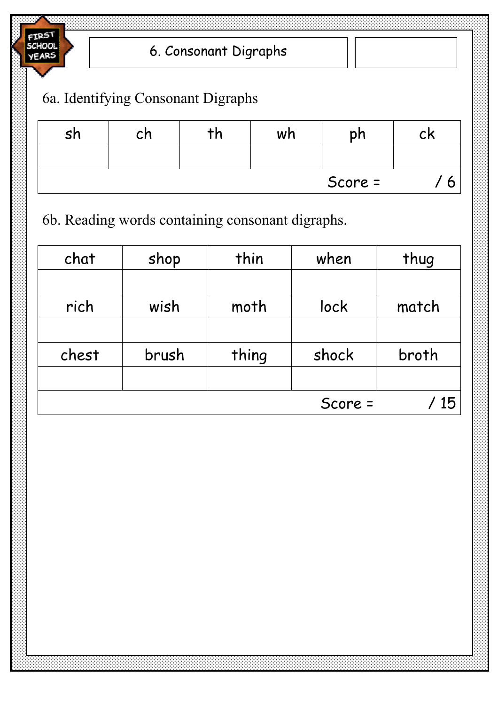

6a. Identifying Consonant Digraphs

| <b>sh</b> | cn | wh | bh      | CK |
|-----------|----|----|---------|----|
|           |    |    |         |    |
|           |    |    | Score = |    |

6b. Reading words containing consonant digraphs.

| chat  | shop  | thin  | when    | thug  |
|-------|-------|-------|---------|-------|
|       |       |       |         |       |
| rich  | wish  | moth  | lock    | match |
|       |       |       |         |       |
| chest | brush | thing | shock   | broth |
|       |       |       |         |       |
|       |       |       | Score = | 15    |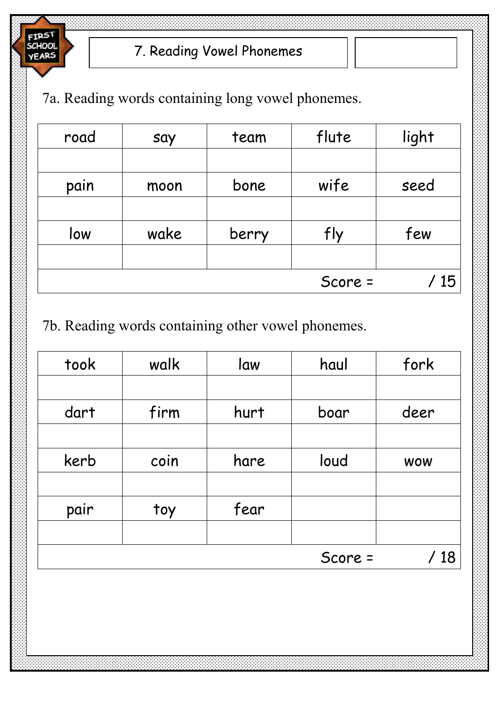

7a. Reading words containing long vowel phonemes.

| road | say  | team  | flute   | light |
|------|------|-------|---------|-------|
|      |      |       |         |       |
| pain | moon | bone  | wife    | seed  |
|      |      |       |         |       |
| low  | wake | berry | fly     | few   |
|      |      |       |         |       |
|      |      |       | Score = | 15    |

7b. Reading words containing other vowel phonemes.

| took | walk | law  | haul    | fork       |
|------|------|------|---------|------------|
|      |      |      |         |            |
| dart | firm | hurt | boar    | deer       |
|      |      |      |         |            |
| kerb | coin | hare | loud    | <b>WOW</b> |
|      |      |      |         |            |
| pair | toy  | fear |         |            |
|      |      |      |         |            |
|      |      |      | Score = | 18         |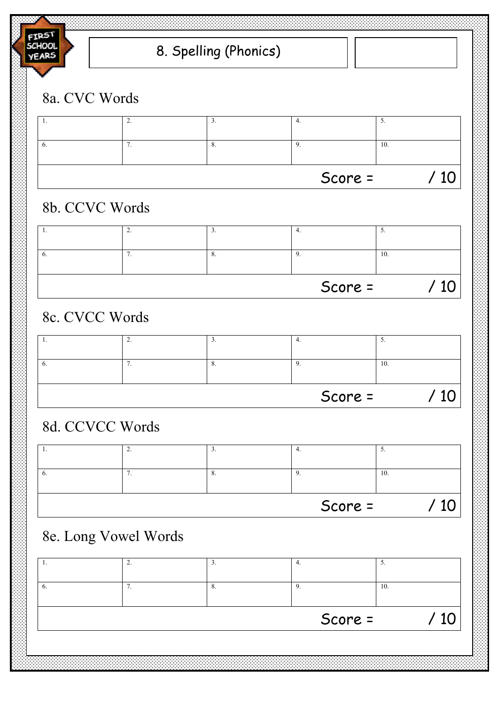

## 8. Spelling (Phonics)

### 8a. CVC Words



### 8b. CCVC Words

| . . | <u>.</u> | -  |         | ◡   |
|-----|----------|----|---------|-----|
|     |          | O. |         | 10. |
|     |          |    | Score = |     |

### 8c. CVCC Words

|     |           | Score = |                          |
|-----|-----------|---------|--------------------------|
|     | $\circ$ . |         | 10.                      |
| . . | ╯         |         | $\overline{\phantom{a}}$ |

### 8d. CCVCC Words

|     |     |                       | Score = |     |
|-----|-----|-----------------------|---------|-----|
| v.  | . . | $\circ$ .             |         | 10. |
| . . |     | $\tilde{\phantom{a}}$ |         |     |

### 8e. Long Vowel Words

| . . | ∼<br>- | υ. | $\overline{\phantom{a}}$ |  |
|-----|--------|----|--------------------------|--|
|     |        | ð. | 10.                      |  |
|     |        |    | Score =                  |  |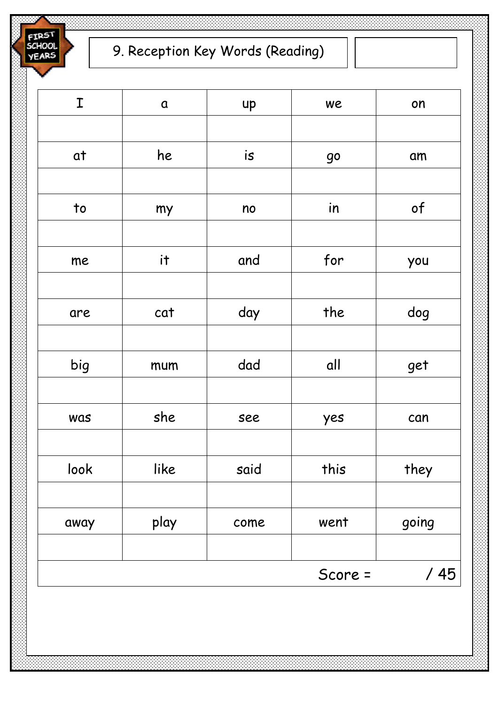erp5 SCHOOL **YEARS** 

| I                        | $\pmb{\alpha}$ | up   | we      | on    |
|--------------------------|----------------|------|---------|-------|
|                          |                |      |         |       |
| at                       | he             | is   | 90      | am    |
|                          |                |      |         |       |
| $\overline{\phantom{a}}$ | my             | no   | in      | of    |
|                          |                |      |         |       |
| me                       | it             | and  | for     | you   |
|                          |                |      |         |       |
| are                      | cat            | day  | the     | dog   |
|                          |                |      |         |       |
| big                      | mum            | dad  | all     | get   |
|                          |                |      |         |       |
| was                      | she            | see  | yes     | can   |
|                          |                |      |         |       |
| look                     | like           | said | this    | they  |
|                          |                |      |         |       |
| away                     | play           | come | went    | going |
|                          |                |      |         |       |
|                          |                |      | Score = | /45   |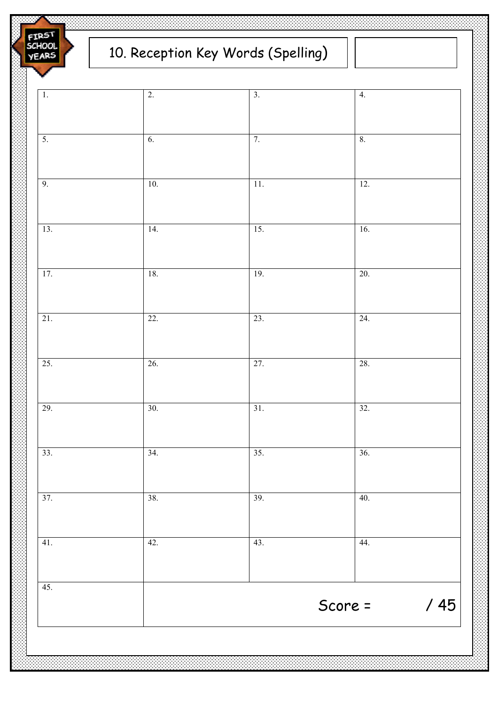FIRS SCHOOL **YEARS** 

# 10. Reception Key Words (Spelling)

| 29.<br>30.<br>34.<br>33.<br>38.<br>37.<br>41.<br>42.<br>45. | Score =                  | /45 |
|-------------------------------------------------------------|--------------------------|-----|
|                                                             | 43.<br>44.               |     |
|                                                             | 39.<br>40.               |     |
|                                                             | $\overline{35}$ .<br>36. |     |
|                                                             | 31.<br>32.               |     |
| 25.<br>26.                                                  | 27.<br>28.               |     |
| $\overline{22}$ .<br>21.                                    | 23.<br>24.               |     |
| 17.<br>18.                                                  | 19.<br>20.               |     |
| 13.<br>14.                                                  | 15.<br>16.               |     |
| 9.<br>$10.$                                                 | 12.<br>$\overline{11}$ . |     |
| $\overline{5}$ .<br>6.                                      | 7.<br>$\bf 8.$           |     |
| $\overline{1}$ .<br>$\overline{2}$ .                        | $\overline{3}$ .<br>4.   |     |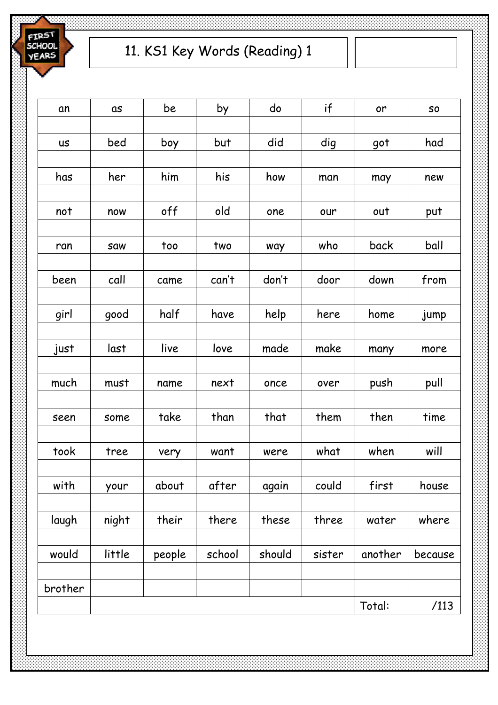

| an        | as     | be     | by     | do     | if     | or      | SO      |
|-----------|--------|--------|--------|--------|--------|---------|---------|
|           |        |        |        |        |        |         |         |
| <b>US</b> | bed    | boy    | but    | did    | dig    | got     | had     |
|           |        |        |        |        |        |         |         |
| has       | her    | him    | his    | how    | man    | may     | new     |
|           |        |        |        |        |        |         |         |
| not       | now    | off    | old    | one    | our    | out     | put     |
|           |        |        |        |        |        |         |         |
| ran       | saw    | too    | two    | way    | who    | back    | ball    |
|           |        |        |        |        |        |         |         |
| been      | call   | came   | can't  | don't  | door   | down    | from    |
|           |        |        |        |        |        |         |         |
| girl      | good   | half   | have   | help   | here   | home    | jump    |
|           |        |        |        |        |        |         |         |
| just      | last   | live   | love   | made   | make   | many    | more    |
|           |        |        |        |        |        |         |         |
| much      | must   | name   | next   | once   | over   | push    | pull    |
|           |        |        |        |        |        |         |         |
| seen      | some   | take   | than   | that   | them   | then    | time    |
| took      | tree   |        | want   |        | what   | when    | will    |
|           |        | very   |        | were   |        |         |         |
| with      | your   | about  | after  | again  | could  | first   | house   |
|           |        |        |        |        |        |         |         |
| laugh     | night  | their  | there  | these  | three  | water   | where   |
|           |        |        |        |        |        |         |         |
| would     | little | people | school | should | sister | another | because |
|           |        |        |        |        |        |         |         |
| brother   |        |        |        |        |        |         |         |
|           |        |        |        |        |        | Total:  | /113    |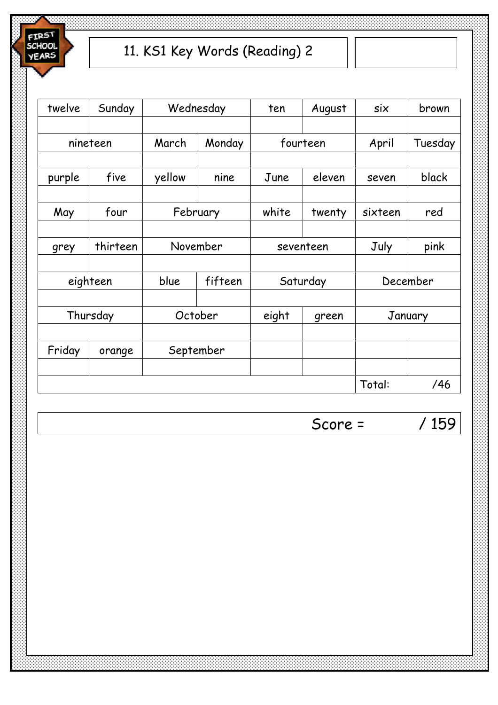

| twelve | Sunday   |        | Wednesday | ten       | August   | six     | brown    |
|--------|----------|--------|-----------|-----------|----------|---------|----------|
|        |          |        |           |           |          |         |          |
|        | nineteen | March  | Monday    |           | fourteen | April   | Tuesday  |
|        |          |        |           |           |          |         |          |
| purple | five     | yellow | nine      | June      | eleven   | seven   | black    |
|        |          |        |           |           |          |         |          |
| May    | four     |        | February  | white     | twenty   | sixteen | red      |
|        |          |        |           |           |          |         |          |
| grey   | thirteen |        | November  | seventeen |          | July    | pink     |
|        |          |        |           |           |          |         |          |
|        | eighteen | blue   | fifteen   |           | Saturday |         | December |
|        |          |        |           |           |          |         |          |
|        | Thursday |        | October   | eight     | green    |         | January  |
|        |          |        |           |           |          |         |          |
| Friday | orange   |        | September |           |          |         |          |
|        |          |        |           |           |          |         |          |
|        |          |        |           |           |          | Total:  | /46      |

Score = / 159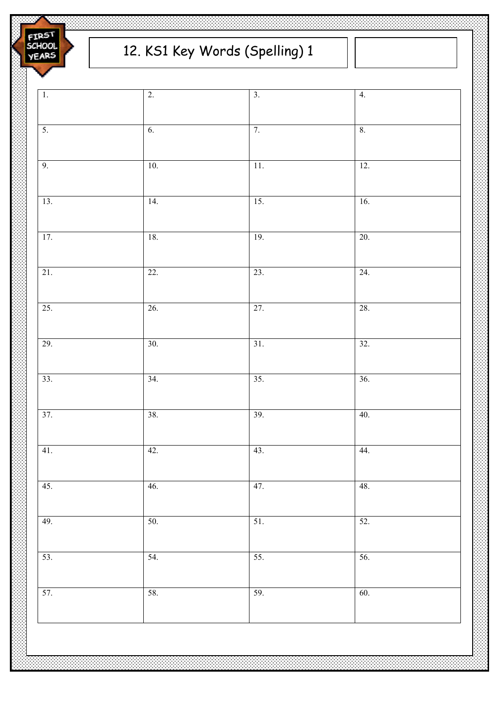

| $\overline{1}$ . | $\overline{2}$ . | $\overline{3}$ . | 4.                |  |
|------------------|------------------|------------------|-------------------|--|
|                  |                  |                  |                   |  |
| 5.               | 6.               | 7.               | 8.                |  |
|                  |                  |                  |                   |  |
| 9.               | 10.              | 11.              | 12.               |  |
|                  |                  |                  |                   |  |
| 13.              | 14.              | 15.              | 16.               |  |
|                  |                  |                  |                   |  |
| 17.              | 18.              | 19.              | 20.               |  |
|                  |                  |                  |                   |  |
| 21.              | 22.              | 23.              | 24.               |  |
|                  |                  |                  |                   |  |
| 25.              | 26.              | 27.              | 28.               |  |
|                  |                  |                  |                   |  |
| 29.              | 30.              | 31.              | 32.               |  |
|                  |                  |                  |                   |  |
| 33.              | 34.              | 35.              | 36.               |  |
|                  |                  |                  |                   |  |
| 37.              | 38.              | 39.              | 40.               |  |
|                  |                  |                  |                   |  |
| 41.              | 42.              | 43.              | 44.               |  |
|                  |                  |                  |                   |  |
| 45.              | 46.              | 47.              | 48.               |  |
|                  |                  |                  |                   |  |
| 49.              | 50.              | 51.              | $\overline{52}$ . |  |
|                  |                  |                  |                   |  |
| 53.              | 54.              | 55.              | 56.               |  |
|                  | 58.              |                  |                   |  |
| 57.              |                  | 59.              | 60.               |  |
|                  |                  |                  |                   |  |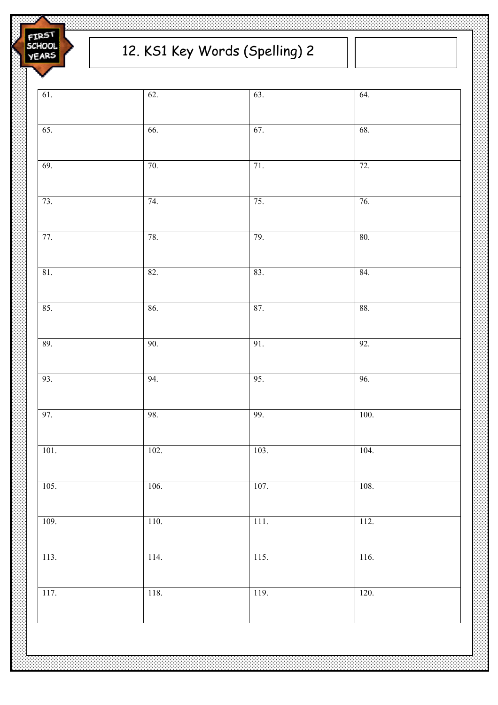

## 12. KS1 Key Words (Spelling) 2

| 61.             | 62.  | 63.    | 64.  |  |
|-----------------|------|--------|------|--|
| 65.             | 66.  | 67.    | 68.  |  |
| 69.             | 70.  | 71.    | 72.  |  |
| 73.             | 74.  | 75.    | 76.  |  |
| 77.             | 78.  | 79.    | 80.  |  |
| $81.$           | 82.  | 83.    | 84.  |  |
| 85.             | 86.  | 87.    | 88.  |  |
| 89.             | 90.  | 91.    | 92.  |  |
| 93.             | 94.  | 95.    | 96.  |  |
| 97.             | 98.  | 99.    | 100. |  |
| $101\mathrm{.}$ | 102. | 103.   | 104. |  |
| 105.            | 106. | 107.   | 108. |  |
| 109.            | 110. | $111.$ | 112. |  |
| 113.            | 114. | 115.   | 116. |  |
| 117.            | 118. | 119.   | 120. |  |
|                 |      |        |      |  |